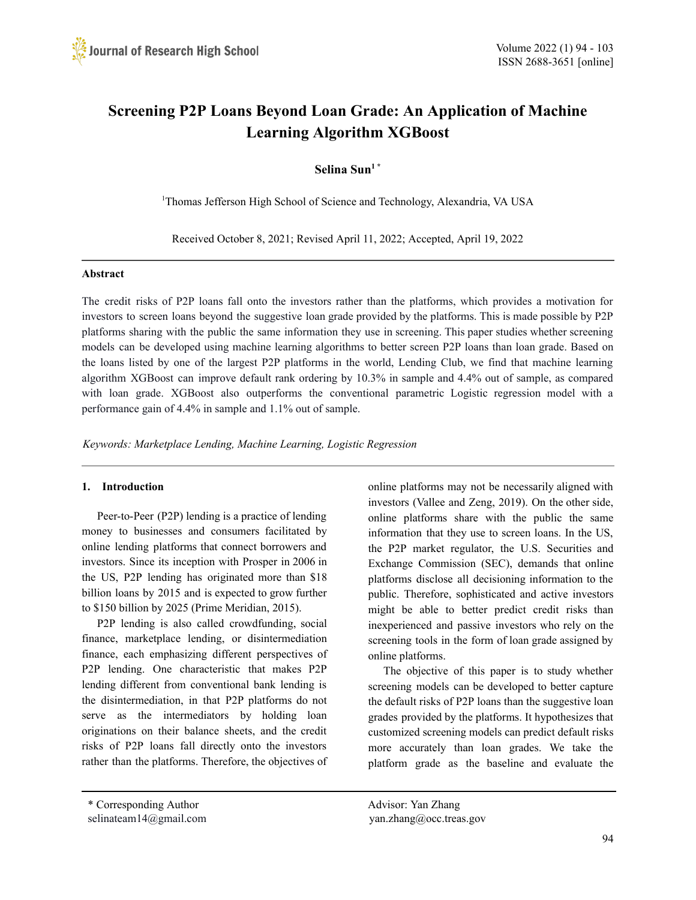# **Screening P2P Loans Beyond Loan Grade: An Application of Machine Learning Algorithm XGBoost**

**Selina Sun 1 \***

<sup>1</sup>Thomas Jefferson High School of Science and Technology, Alexandria, VA USA

Received October 8, 2021; Revised April 11, 2022; Accepted, April 19, 2022

#### **Abstract**

The credit risks of P2P loans fall onto the investors rather than the platforms, which provides a motivation for investors to screen loans beyond the suggestive loan grade provided by the platforms. This is made possible by P2P platforms sharing with the public the same information they use in screening. This paper studies whether screening models can be developed using machine learning algorithms to better screen P2P loans than loan grade. Based on the loans listed by one of the largest P2P platforms in the world, Lending Club, we find that machine learning algorithm XGBoost can improve default rank ordering by 10.3% in sample and 4.4% out of sample, as compared with loan grade. XGBoost also outperforms the conventional parametric Logistic regression model with a performance gain of 4.4% in sample and 1.1% out of sample.

*Keywords: Marketplace Lending, Machine Learning, Logistic Regression*

### **1. Introduction**

Peer-to-Peer (P2P) lending is a practice of lending money to businesses and consumers facilitated by online lending platforms that connect borrowers and investors. Since its inception with Prosper in 2006 in the US, P2P lending has originated more than \$18 billion loans by 2015 and is expected to grow further to \$150 billion by 2025 (Prime Meridian, 2015).

P2P lending is also called crowdfunding, social finance, marketplace lending, or disintermediation finance, each emphasizing different perspectives of P2P lending. One characteristic that makes P2P lending different from conventional bank lending is the disintermediation, in that P2P platforms do not serve as the intermediators by holding loan originations on their balance sheets, and the credit risks of P2P loans fall directly onto the investors rather than the platforms. Therefore, the objectives of online platforms may not be necessarily aligned with investors (Vallee and Zeng, 2019). On the other side, online platforms share with the public the same information that they use to screen loans. In the US, the P2P market regulator, the U.S. Securities and Exchange Commission (SEC), demands that online platforms disclose all decisioning information to the public. Therefore, sophisticated and active investors might be able to better predict credit risks than inexperienced and passive investors who rely on the screening tools in the form of loan grade assigned by online platforms.

The objective of this paper is to study whether screening models can be developed to better capture the default risks of P2P loans than the suggestive loan grades provided by the platforms. It hypothesizes that customized screening models can predict default risks more accurately than loan grades. We take the platform grade as the baseline and evaluate the

selinateam14@gmail.com yan.zhang@occ.treas.gov

<sup>\*</sup> Corresponding Author Advisor: Yan Zhang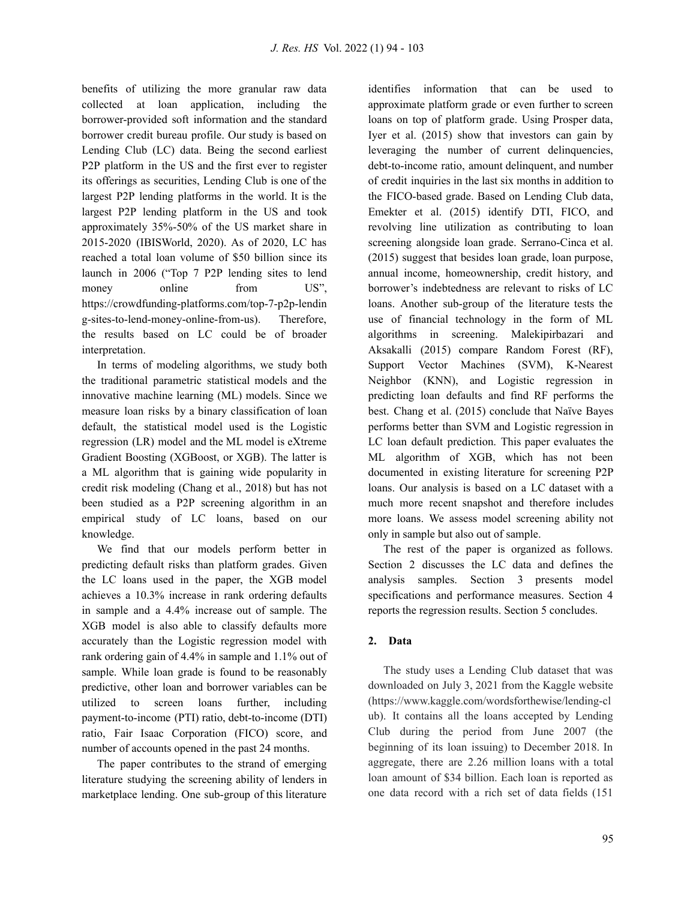benefits of utilizing the more granular raw data collected at loan application, including the borrower-provided soft information and the standard borrower credit bureau profile. Our study is based on Lending Club (LC) data. Being the second earliest P2P platform in the US and the first ever to register its offerings as securities, Lending Club is one of the largest P2P lending platforms in the world. It is the largest P2P lending platform in the US and took approximately 35%-50% of the US market share in 2015-2020 (IBISWorld, 2020). As of 2020, LC has reached a total loan volume of \$50 billion since its launch in 2006 ("Top 7 P2P lending sites to lend money online from US", https://crowdfunding-platforms.com/top-7-p2p-lendin g-sites-to-lend-money-online-from-us). Therefore, the results based on LC could be of broader interpretation.

In terms of modeling algorithms, we study both the traditional parametric statistical models and the innovative machine learning (ML) models. Since we measure loan risks by a binary classification of loan default, the statistical model used is the Logistic regression (LR) model and the ML model is eXtreme Gradient Boosting (XGBoost, or XGB). The latter is a ML algorithm that is gaining wide popularity in credit risk modeling (Chang et al., 2018) but has not been studied as a P2P screening algorithm in an empirical study of LC loans, based on our knowledge.

We find that our models perform better in predicting default risks than platform grades. Given the LC loans used in the paper, the XGB model achieves a 10.3% increase in rank ordering defaults in sample and a 4.4% increase out of sample. The XGB model is also able to classify defaults more accurately than the Logistic regression model with rank ordering gain of 4.4% in sample and 1.1% out of sample. While loan grade is found to be reasonably predictive, other loan and borrower variables can be utilized to screen loans further, including payment-to-income (PTI) ratio, debt-to-income (DTI) ratio, Fair Isaac Corporation (FICO) score, and number of accounts opened in the past 24 months.

The paper contributes to the strand of emerging literature studying the screening ability of lenders in marketplace lending. One sub-group of this literature identifies information that can be used to approximate platform grade or even further to screen loans on top of platform grade. Using Prosper data, Iyer et al. (2015) show that investors can gain by leveraging the number of current delinquencies, debt-to-income ratio, amount delinquent, and number of credit inquiries in the last six months in addition to the FICO-based grade. Based on Lending Club data, Emekter et al. (2015) identify DTI, FICO, and revolving line utilization as contributing to loan screening alongside loan grade. Serrano-Cinca et al. (2015) suggest that besides loan grade, loan purpose, annual income, homeownership, credit history, and borrower's indebtedness are relevant to risks of LC loans. Another sub-group of the literature tests the use of financial technology in the form of ML algorithms in screening. Malekipirbazari and Aksakalli (2015) compare Random Forest (RF), Support Vector Machines (SVM), K-Nearest Neighbor (KNN), and Logistic regression in predicting loan defaults and find RF performs the best. Chang et al. (2015) conclude that Naïve Bayes performs better than SVM and Logistic regression in LC loan default prediction. This paper evaluates the ML algorithm of XGB, which has not been documented in existing literature for screening P2P loans. Our analysis is based on a LC dataset with a much more recent snapshot and therefore includes more loans. We assess model screening ability not only in sample but also out of sample.

The rest of the paper is organized as follows. Section 2 discusses the LC data and defines the analysis samples. Section 3 presents model specifications and performance measures. Section 4 reports the regression results. Section 5 concludes.

# **2. Data**

The study uses a Lending Club dataset that was downloaded on July 3, 2021 from the Kaggle website (https://www.kaggle.com/wordsforthewise/lending-cl ub). It contains all the loans accepted by Lending Club during the period from June 2007 (the beginning of its loan issuing) to December 2018. In aggregate, there are 2.26 million loans with a total loan amount of \$34 billion. Each loan is reported as one data record with a rich set of data fields (151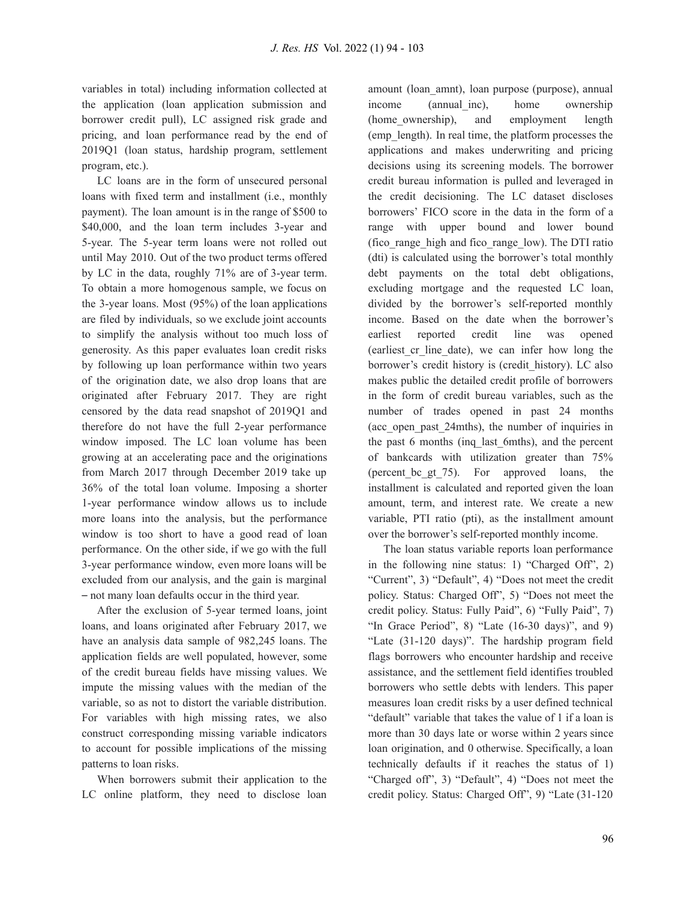variables in total) including information collected at the application (loan application submission and borrower credit pull), LC assigned risk grade and pricing, and loan performance read by the end of 2019Q1 (loan status, hardship program, settlement program, etc.).

LC loans are in the form of unsecured personal loans with fixed term and installment (i.e., monthly payment). The loan amount is in the range of \$500 to \$40,000, and the loan term includes 3-year and 5-year. The 5-year term loans were not rolled out until May 2010. Out of the two product terms offered by LC in the data, roughly 71% are of 3-year term. To obtain a more homogenous sample, we focus on the 3-year loans. Most (95%) of the loan applications are filed by individuals, so we exclude joint accounts to simplify the analysis without too much loss of generosity. As this paper evaluates loan credit risks by following up loan performance within two years of the origination date, we also drop loans that are originated after February 2017. They are right censored by the data read snapshot of 2019Q1 and therefore do not have the full 2-year performance window imposed. The LC loan volume has been growing at an accelerating pace and the originations from March 2017 through December 2019 take up 36% of the total loan volume. Imposing a shorter 1-year performance window allows us to include more loans into the analysis, but the performance window is too short to have a good read of loan performance. On the other side, if we go with the full 3-year performance window, even more loans will be excluded from our analysis, and the gain is marginal – not many loan defaults occur in the third year.

After the exclusion of 5-year termed loans, joint loans, and loans originated after February 2017, we have an analysis data sample of 982,245 loans. The application fields are well populated, however, some of the credit bureau fields have missing values. We impute the missing values with the median of the variable, so as not to distort the variable distribution. For variables with high missing rates, we also construct corresponding missing variable indicators to account for possible implications of the missing patterns to loan risks.

When borrowers submit their application to the LC online platform, they need to disclose loan amount (loan\_amnt), loan purpose (purpose), annual income (annual inc), home ownership (home ownership), and employment length (emp\_length). In real time, the platform processes the applications and makes underwriting and pricing decisions using its screening models. The borrower credit bureau information is pulled and leveraged in the credit decisioning. The LC dataset discloses borrowers' FICO score in the data in the form of a range with upper bound and lower bound (fico\_range\_high and fico\_range\_low). The DTI ratio (dti) is calculated using the borrower's total monthly debt payments on the total debt obligations, excluding mortgage and the requested LC loan, divided by the borrower's self-reported monthly income. Based on the date when the borrower's earliest reported credit line was opened (earliest\_cr\_line\_date), we can infer how long the borrower's credit history is (credit\_history). LC also makes public the detailed credit profile of borrowers in the form of credit bureau variables, such as the number of trades opened in past 24 months (acc\_open\_past\_24mths), the number of inquiries in the past 6 months (inq\_last\_6mths), and the percent of bankcards with utilization greater than 75% (percent\_bc\_gt\_75). For approved loans, the installment is calculated and reported given the loan amount, term, and interest rate. We create a new variable, PTI ratio (pti), as the installment amount over the borrower's self-reported monthly income.

The loan status variable reports loan performance in the following nine status: 1) "Charged Off", 2) "Current", 3) "Default", 4) "Does not meet the credit policy. Status: Charged Off", 5) "Does not meet the credit policy. Status: Fully Paid", 6) "Fully Paid", 7) "In Grace Period",  $8$ ) "Late  $(16-30 \text{ days})$ ", and  $9$ ) "Late (31-120 days)". The hardship program field flags borrowers who encounter hardship and receive assistance, and the settlement field identifies troubled borrowers who settle debts with lenders. This paper measures loan credit risks by a user defined technical "default" variable that takes the value of 1 if a loan is more than 30 days late or worse within 2 years since loan origination, and 0 otherwise. Specifically, a loan technically defaults if it reaches the status of 1) "Charged off", 3) "Default", 4) "Does not meet the credit policy. Status: Charged Off", 9) "Late (31-120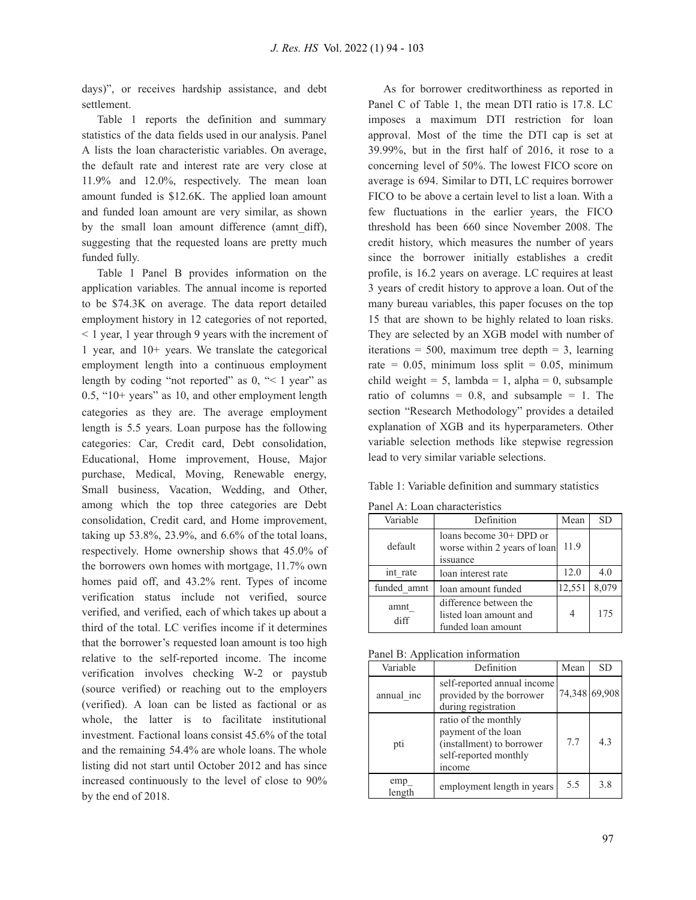days)", or receives hardship assistance, and debt settlement.

Table 1 reports the definition and summary statistics of the data fields used in our analysis. Panel A lists the loan characteristic variables. On average, the default rate and interest rate are very close at 11.9% and 12.0%, respectively. The mean loan amount funded is \$12.6K. The applied loan amount and funded loan amount are very similar, as shown by the small loan amount difference (amnt\_diff), suggesting that the requested loans are pretty much funded fully.

Table 1 Panel B provides information on the application variables. The annual income is reported to be \$74.3K on average. The data report detailed employment history in 12 categories of not reported, < 1 year, 1 year through 9 years with the increment of 1 year, and 10+ years. We translate the categorical employment length into a continuous employment length by coding "not reported" as  $0,$  " $\leq 1$  year" as 0.5, "10+ years" as 10, and other employment length categories as they are. The average employment length is 5.5 years. Loan purpose has the following categories: Car, Credit card, Debt consolidation, Educational, Home improvement, House, Major purchase, Medical, Moving, Renewable energy, Small business, Vacation, Wedding, and Other, among which the top three categories are Debt consolidation, Credit card, and Home improvement, taking up 53.8%, 23.9%, and 6.6% of the total loans, respectively. Home ownership shows that 45.0% of the borrowers own homes with mortgage, 11.7% own homes paid off, and 43.2% rent. Types of income verification status include not verified, source verified, and verified, each of which takes up about a third of the total. LC verifies income if it determines that the borrower's requested loan amount is too high relative to the self-reported income. The income verification involves checking W-2 or paystub (source verified) or reaching out to the employers (verified). A loan can be listed as factional or as whole, the latter is to facilitate institutional investment. Factional loans consist 45.6% of the total and the remaining 54.4% are whole loans. The whole listing did not start until October 2012 and has since increased continuously to the level of close to 90% by the end of 2018.

As for borrower creditworthiness as reported in Panel C of Table 1, the mean DTI ratio is 17.8. LC imposes a maximum DTI restriction for loan approval. Most of the time the DTI cap is set at 39.99%, but in the first half of 2016, it rose to a concerning level of 50%. The lowest FICO score on average is 694. Similar to DTI, LC requires borrower FICO to be above a certain level to list a loan. With a few fluctuations in the earlier years, the FICO threshold has been 660 since November 2008. The credit history, which measures the number of years since the borrower initially establishes a credit profile, is 16.2 years on average. LC requires at least 3 years of credit history to approve a loan. Out of the many bureau variables, this paper focuses on the top 15 that are shown to be highly related to loan risks. They are selected by an XGB model with number of iterations =  $500$ , maximum tree depth = 3, learning rate =  $0.05$ , minimum loss split =  $0.05$ , minimum child weight = 5, lambda = 1, alpha = 0, subsample ratio of columns =  $0.8$ , and subsample = 1. The section "Research Methodology" provides a detailed explanation of XGB and its hyperparameters. Other variable selection methods like stepwise regression lead to very similar variable selections.

Table 1: Variable definition and summary statistics

| Variable     | Definition                                                                  | Mean   | <b>SD</b> |
|--------------|-----------------------------------------------------------------------------|--------|-----------|
| default      | loans become $30+DPD$ or<br>worse within 2 years of loan<br><i>s</i> suance | 11.9   |           |
| int rate     | loan interest rate                                                          | 12.0   | 4.0       |
| funded amnt  | loan amount funded                                                          | 12,551 | 8,079     |
| amnt<br>diff | difference between the<br>listed loan amount and<br>funded loan amount      | 4      | 175       |

Panel A: Loan characteristics

Panel B: Application information

| Variable      | Definition                                                                                                  | Mean | <b>SD</b>     |
|---------------|-------------------------------------------------------------------------------------------------------------|------|---------------|
| annual inc    | self-reported annual income<br>provided by the borrower<br>during registration                              |      | 74,348 69,908 |
| pti           | ratio of the monthly<br>payment of the loan<br>(installment) to borrower<br>self-reported monthly<br>income | 7.7  | 4.3           |
| emp<br>length | employment length in years                                                                                  | 5.5  | 3.8           |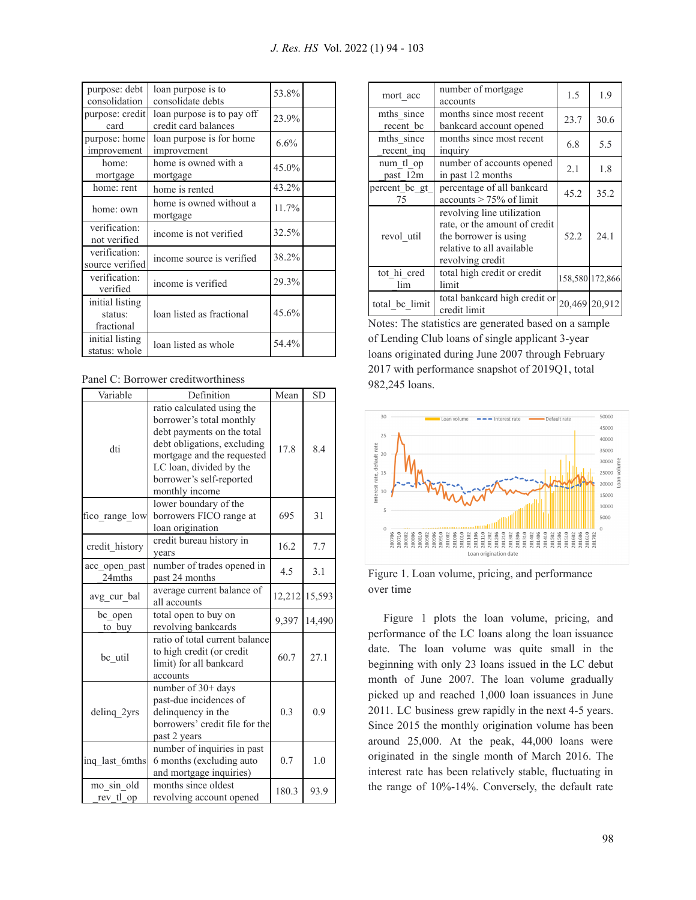| purpose: debt<br>consolidation           | loan purpose is to<br>consolidate debts            | 53.8%   |  |
|------------------------------------------|----------------------------------------------------|---------|--|
| purpose: credit<br>card                  | loan purpose is to pay off<br>credit card balances | 23.9%   |  |
| purpose: home<br>improvement             | loan purpose is for home<br>improvement            | $6.6\%$ |  |
| home:<br>mortgage                        | home is owned with a<br>mortgage                   | 45.0%   |  |
| home: rent                               | home is rented                                     | 43.2%   |  |
| home: own                                | home is owned without a<br>mortgage                | 11.7%   |  |
| verification:<br>not verified            | income is not verified                             | 32.5%   |  |
| verification:<br>source verified         | income source is verified                          | 38.2%   |  |
| verification:<br>verified                | income is verified                                 | 29.3%   |  |
| initial listing<br>status:<br>fractional | loan listed as fractional                          | 45.6%   |  |
| initial listing<br>status: whole         | loan listed as whole                               | 54.4%   |  |

Panel C: Borrower creditworthiness

| Variable                | Definition                                                                                                                                                                                                                 | Mean   | <b>SD</b> |
|-------------------------|----------------------------------------------------------------------------------------------------------------------------------------------------------------------------------------------------------------------------|--------|-----------|
| dti                     | ratio calculated using the<br>borrower's total monthly<br>debt payments on the total<br>debt obligations, excluding<br>mortgage and the requested<br>LC loan, divided by the<br>borrower's self-reported<br>monthly income | 17.8   | 8.4       |
| fico_range_low          | lower boundary of the<br>borrowers FICO range at<br>loan origination                                                                                                                                                       | 695    | 31        |
| credit history          | credit bureau history in<br>vears                                                                                                                                                                                          | 16.2   | 7.7       |
| acc open past<br>24mths | number of trades opened in<br>past 24 months                                                                                                                                                                               | 4.5    | 3.1       |
| avg_cur_bal             | average current balance of<br>all accounts                                                                                                                                                                                 | 12,212 | 15,593    |
| bc open<br>to buy       | total open to buy on<br>revolving bankcards                                                                                                                                                                                |        | 14,490    |
| bc util                 | ratio of total current balance<br>to high credit (or credit<br>limit) for all bankcard<br>accounts                                                                                                                         | 60.7   | 27.1      |
| deling 2yrs             | number of 30+ days<br>past-due incidences of<br>delinquency in the<br>borrowers' credit file for the<br>past 2 years                                                                                                       | 0.3    | 0.9       |
| ing last 6mths          | number of inquiries in past<br>6 months (excluding auto<br>and mortgage inquiries)                                                                                                                                         |        | 1.0       |
| mo sin old<br>rev tl op | months since oldest<br>revolving account opened                                                                                                                                                                            |        | 93.9      |

| mort acc                 | number of mortgage<br>accounts                                                                                                        | 1.5  | 1.9             |
|--------------------------|---------------------------------------------------------------------------------------------------------------------------------------|------|-----------------|
| mths since<br>recent bc  | months since most recent<br>bankcard account opened                                                                                   | 23.7 | 30.6            |
| mths since<br>recent ing | months since most recent<br>inquiry                                                                                                   | 6.8  | 5.5             |
| num tl op<br>past 12m    | number of accounts opened<br>in past 12 months                                                                                        | 2.1  | 1.8             |
| percent bc gt<br>75      | percentage of all bankcard<br>$accounts > 75\%$ of limit                                                                              | 45.2 | 35.2            |
| revol_util               | revolving line utilization<br>rate, or the amount of credit<br>the borrower is using<br>relative to all available<br>revolving credit | 52.2 | 24.1            |
| tot hi cred<br>lim       | total high credit or credit<br>limit                                                                                                  |      | 158,580 172,866 |
| total_bc_limit           | total bankcard high credit or<br>credit limit                                                                                         |      | 20,469 20,912   |

Notes: The statistics are generated based on a sample of Lending Club loans of single applicant 3-year loans originated during June 2007 through February 2017 with performance snapshot of 2019Q1, total 982,245 loans.



Figure 1. Loan volume, pricing, and performance over time

Figure 1 plots the loan volume, pricing, and performance of the LC loans along the loan issuance date. The loan volume was quite small in the beginning with only 23 loans issued in the LC debut month of June 2007. The loan volume gradually picked up and reached 1,000 loan issuances in June 2011. LC business grew rapidly in the next 4-5 years. Since 2015 the monthly origination volume has been around 25,000. At the peak, 44,000 loans were originated in the single month of March 2016. The interest rate has been relatively stable, fluctuating in the range of 10%-14%. Conversely, the default rate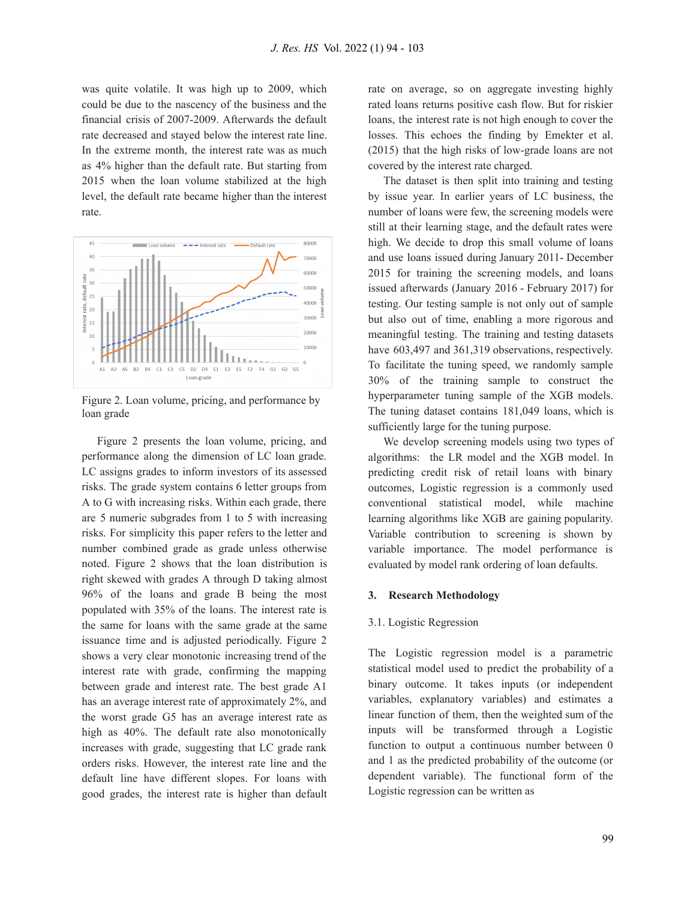was quite volatile. It was high up to 2009, which could be due to the nascency of the business and the financial crisis of 2007-2009. Afterwards the default rate decreased and stayed below the interest rate line. In the extreme month, the interest rate was as much as 4% higher than the default rate. But starting from 2015 when the loan volume stabilized at the high level, the default rate became higher than the interest rate.



Figure 2. Loan volume, pricing, and performance by loan grade

Figure 2 presents the loan volume, pricing, and performance along the dimension of LC loan grade. LC assigns grades to inform investors of its assessed risks. The grade system contains 6 letter groups from A to G with increasing risks. Within each grade, there are 5 numeric subgrades from 1 to 5 with increasing risks. For simplicity this paper refers to the letter and number combined grade as grade unless otherwise noted. Figure 2 shows that the loan distribution is right skewed with grades A through D taking almost 96% of the loans and grade B being the most populated with 35% of the loans. The interest rate is the same for loans with the same grade at the same issuance time and is adjusted periodically. Figure 2 shows a very clear monotonic increasing trend of the interest rate with grade, confirming the mapping between grade and interest rate. The best grade A1 has an average interest rate of approximately 2%, and the worst grade G5 has an average interest rate as high as 40%. The default rate also monotonically increases with grade, suggesting that LC grade rank orders risks. However, the interest rate line and the default line have different slopes. For loans with good grades, the interest rate is higher than default

rate on average, so on aggregate investing highly rated loans returns positive cash flow. But for riskier loans, the interest rate is not high enough to cover the losses. This echoes the finding by Emekter et al. (2015) that the high risks of low-grade loans are not covered by the interest rate charged.

The dataset is then split into training and testing by issue year. In earlier years of LC business, the number of loans were few, the screening models were still at their learning stage, and the default rates were high. We decide to drop this small volume of loans and use loans issued during January 2011- December 2015 for training the screening models, and loans issued afterwards (January 2016 - February 2017) for testing. Our testing sample is not only out of sample but also out of time, enabling a more rigorous and meaningful testing. The training and testing datasets have 603,497 and 361,319 observations, respectively. To facilitate the tuning speed, we randomly sample 30% of the training sample to construct the hyperparameter tuning sample of the XGB models. The tuning dataset contains 181,049 loans, which is sufficiently large for the tuning purpose.

We develop screening models using two types of algorithms: the LR model and the XGB model. In predicting credit risk of retail loans with binary outcomes, Logistic regression is a commonly used conventional statistical model, while machine learning algorithms like XGB are gaining popularity. Variable contribution to screening is shown by variable importance. The model performance is evaluated by model rank ordering of loan defaults.

### **3. Research Methodology**

#### 3.1. Logistic Regression

The Logistic regression model is a parametric statistical model used to predict the probability of a binary outcome. It takes inputs (or independent variables, explanatory variables) and estimates a linear function of them, then the weighted sum of the inputs will be transformed through a Logistic function to output a continuous number between 0 and 1 as the predicted probability of the outcome (or dependent variable). The functional form of the Logistic regression can be written as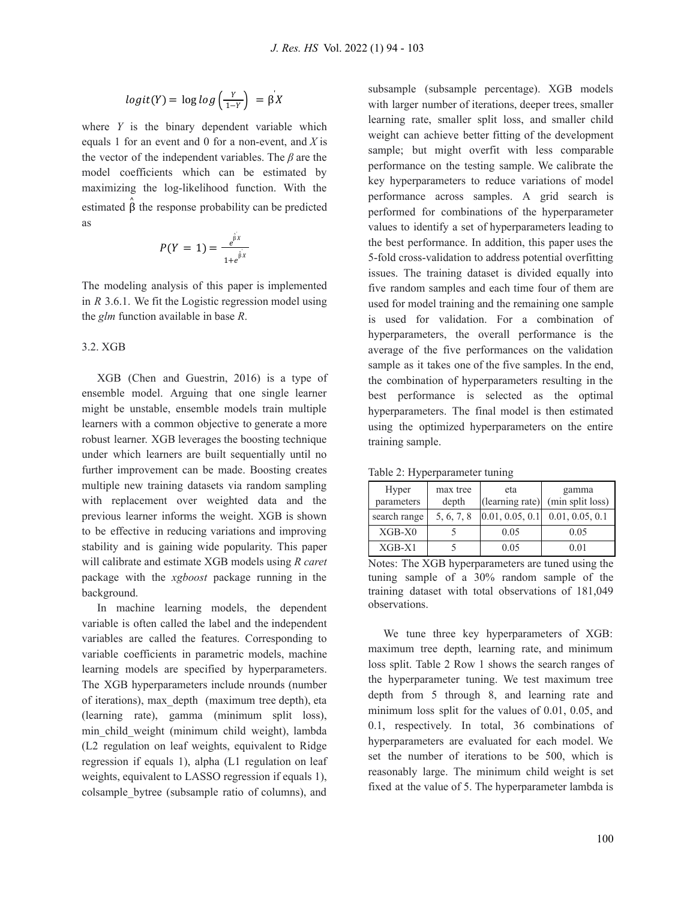$$
logit(Y) = log log\left(\frac{Y}{1-Y}\right) = \beta X
$$

where *Y* is the binary dependent variable which equals 1 for an event and 0 for a non-event, and *X* is the vector of the independent variables. The *β* are the model coefficients which can be estimated by maximizing the log-likelihood function. With the estimated  $\hat{\beta}$  the response probability can be predicted as

$$
P(Y = 1) = \frac{e^{\hat{\beta}x}}{1 + e^{\hat{\beta}x}}
$$

The modeling analysis of this paper is implemented in *R* 3.6.1. We fit the Logistic regression model using the *glm* function available in base *R*.

#### 3.2. XGB

XGB (Chen and Guestrin, 2016) is a type of ensemble model. Arguing that one single learner might be unstable, ensemble models train multiple learners with a common objective to generate a more robust learner. XGB leverages the boosting technique under which learners are built sequentially until no further improvement can be made. Boosting creates multiple new training datasets via random sampling with replacement over weighted data and the previous learner informs the weight. XGB is shown to be effective in reducing variations and improving stability and is gaining wide popularity. This paper will calibrate and estimate XGB models using *R caret* package with the *xgboost* package running in the background.

In machine learning models, the dependent variable is often called the label and the independent variables are called the features. Corresponding to variable coefficients in parametric models, machine learning models are specified by hyperparameters. The XGB hyperparameters include nrounds (number of iterations), max\_depth (maximum tree depth), eta (learning rate), gamma (minimum split loss), min\_child\_weight (minimum child weight), lambda (L2 regulation on leaf weights, equivalent to Ridge regression if equals 1), alpha (L1 regulation on leaf weights, equivalent to LASSO regression if equals 1), colsample\_bytree (subsample ratio of columns), and

subsample (subsample percentage). XGB models with larger number of iterations, deeper trees, smaller learning rate, smaller split loss, and smaller child weight can achieve better fitting of the development sample; but might overfit with less comparable performance on the testing sample. We calibrate the key hyperparameters to reduce variations of model performance across samples. A grid search is performed for combinations of the hyperparameter values to identify a set of hyperparameters leading to the best performance. In addition, this paper uses the 5-fold cross-validation to address potential overfitting issues. The training dataset is divided equally into five random samples and each time four of them are used for model training and the remaining one sample is used for validation. For a combination of hyperparameters, the overall performance is the average of the five performances on the validation sample as it takes one of the five samples. In the end, the combination of hyperparameters resulting in the best performance is selected as the optimal hyperparameters. The final model is then estimated using the optimized hyperparameters on the entire training sample.

Table 2: Hyperparameter tuning

| Hyper<br>parameters | max tree<br>depth | eta<br>(learning rate) | gamma<br>(min split loss) |
|---------------------|-------------------|------------------------|---------------------------|
| search range        | 5, 6, 7, 8        | 0.01, 0.05, 0.1        | 0.01, 0.05, 0.1           |
| $XGB-X0$            |                   | 0.05                   | 0.05                      |
| $XGB-X1$            |                   | 0.05                   | 0.01                      |

Notes: The XGB hyperparameters are tuned using the tuning sample of a 30% random sample of the training dataset with total observations of 181,049 observations.

We tune three key hyperparameters of XGB: maximum tree depth, learning rate, and minimum loss split. Table 2 Row 1 shows the search ranges of the hyperparameter tuning. We test maximum tree depth from 5 through 8, and learning rate and minimum loss split for the values of 0.01, 0.05, and 0.1, respectively. In total, 36 combinations of hyperparameters are evaluated for each model. We set the number of iterations to be 500, which is reasonably large. The minimum child weight is set fixed at the value of 5. The hyperparameter lambda is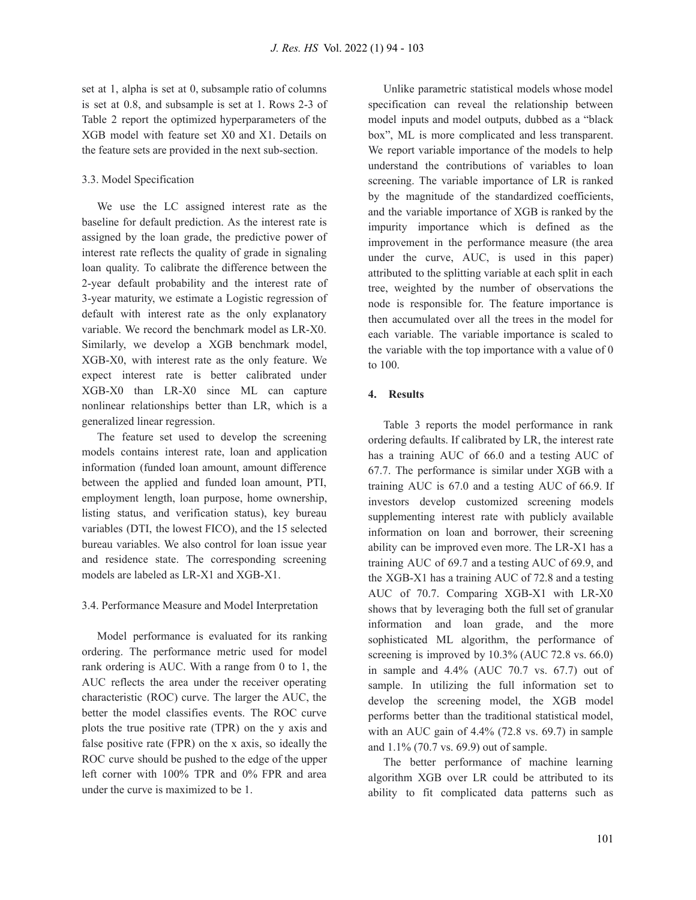set at 1, alpha is set at 0, subsample ratio of columns is set at 0.8, and subsample is set at 1. Rows 2-3 of Table 2 report the optimized hyperparameters of the XGB model with feature set X0 and X1. Details on the feature sets are provided in the next sub-section.

## 3.3. Model Specification

We use the LC assigned interest rate as the baseline for default prediction. As the interest rate is assigned by the loan grade, the predictive power of interest rate reflects the quality of grade in signaling loan quality. To calibrate the difference between the 2-year default probability and the interest rate of 3-year maturity, we estimate a Logistic regression of default with interest rate as the only explanatory variable. We record the benchmark model as LR-X0. Similarly, we develop a XGB benchmark model, XGB-X0, with interest rate as the only feature. We expect interest rate is better calibrated under XGB-X0 than LR-X0 since ML can capture nonlinear relationships better than LR, which is a generalized linear regression.

The feature set used to develop the screening models contains interest rate, loan and application information (funded loan amount, amount difference between the applied and funded loan amount, PTI, employment length, loan purpose, home ownership, listing status, and verification status), key bureau variables (DTI, the lowest FICO), and the 15 selected bureau variables. We also control for loan issue year and residence state. The corresponding screening models are labeled as LR-X1 and XGB-X1.

### 3.4. Performance Measure and Model Interpretation

Model performance is evaluated for its ranking ordering. The performance metric used for model rank ordering is AUC. With a range from 0 to 1, the AUC reflects the area under the receiver operating characteristic (ROC) curve. The larger the AUC, the better the model classifies events. The ROC curve plots the true positive rate (TPR) on the y axis and false positive rate (FPR) on the x axis, so ideally the ROC curve should be pushed to the edge of the upper left corner with 100% TPR and 0% FPR and area under the curve is maximized to be 1.

Unlike parametric statistical models whose model specification can reveal the relationship between model inputs and model outputs, dubbed as a "black box", ML is more complicated and less transparent. We report variable importance of the models to help understand the contributions of variables to loan screening. The variable importance of LR is ranked by the magnitude of the standardized coefficients, and the variable importance of XGB is ranked by the impurity importance which is defined as the improvement in the performance measure (the area under the curve, AUC, is used in this paper) attributed to the splitting variable at each split in each tree, weighted by the number of observations the node is responsible for. The feature importance is then accumulated over all the trees in the model for each variable. The variable importance is scaled to the variable with the top importance with a value of 0 to 100.

## **4. Results**

Table 3 reports the model performance in rank ordering defaults. If calibrated by LR, the interest rate has a training AUC of 66.0 and a testing AUC of 67.7. The performance is similar under XGB with a training AUC is 67.0 and a testing AUC of 66.9. If investors develop customized screening models supplementing interest rate with publicly available information on loan and borrower, their screening ability can be improved even more. The LR-X1 has a training AUC of 69.7 and a testing AUC of 69.9, and the XGB-X1 has a training AUC of 72.8 and a testing AUC of 70.7. Comparing XGB-X1 with LR-X0 shows that by leveraging both the full set of granular information and loan grade, and the more sophisticated ML algorithm, the performance of screening is improved by 10.3% (AUC 72.8 vs. 66.0) in sample and 4.4% (AUC 70.7 vs. 67.7) out of sample. In utilizing the full information set to develop the screening model, the XGB model performs better than the traditional statistical model, with an AUC gain of 4.4% (72.8 vs. 69.7) in sample and 1.1% (70.7 vs. 69.9) out of sample.

The better performance of machine learning algorithm XGB over LR could be attributed to its ability to fit complicated data patterns such as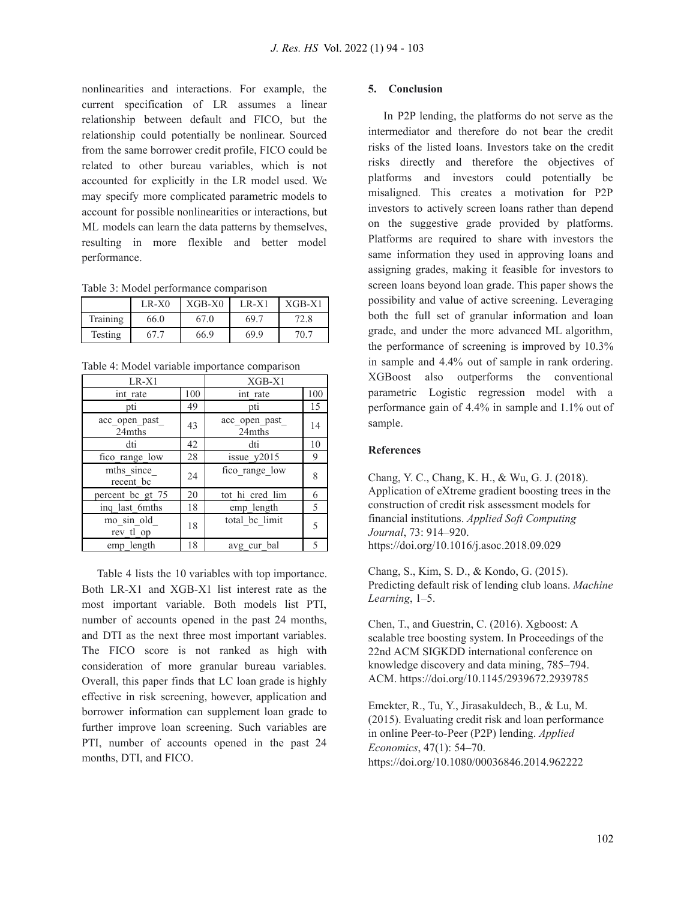nonlinearities and interactions. For example, the current specification of LR assumes a linear relationship between default and FICO, but the relationship could potentially be nonlinear. Sourced from the same borrower credit profile, FICO could be related to other bureau variables, which is not accounted for explicitly in the LR model used. We may specify more complicated parametric models to account for possible nonlinearities or interactions, but ML models can learn the data patterns by themselves, resulting in more flexible and better model performance.

Table 3: Model performance comparison

|          | $LR-X0$ | $XGB-X0$ | $LR-X1$ | $XGB-X1$ |
|----------|---------|----------|---------|----------|
| Training | 66.0    | 67.0     | 69.7    | 72.8     |
| Testing  | 67.7    | 66.9     | 69.9    | 70.7     |

Table 4: Model variable importance comparison

| $LR-X1$                  |     | $XGB-X1$                 |     |
|--------------------------|-----|--------------------------|-----|
| int rate                 | 100 | int rate                 | 100 |
| pti                      | 49  | pti                      | 15  |
| acc_open_past_<br>24mths | 43  | acc_open_past_<br>24mths | 14  |
| dti                      | 42  | dti                      | 10  |
| fico_range_low           | 28  | issue_y2015              | 9   |
| mths since<br>recent bc  | 24  | fico range low           | 8   |
| percent bc gt 75         | 20  | tot hi cred lim          | 6   |
| ing last 6mths           | 18  | emp length               | 5   |
| mo sin old<br>rev tl op  | 18  | total be limit           | 5   |
| emp length               | 18  | avg cur bal              | 5   |

Table 4 lists the 10 variables with top importance. Both LR-X1 and XGB-X1 list interest rate as the most important variable. Both models list PTI, number of accounts opened in the past 24 months, and DTI as the next three most important variables. The FICO score is not ranked as high with consideration of more granular bureau variables. Overall, this paper finds that LC loan grade is highly effective in risk screening, however, application and borrower information can supplement loan grade to further improve loan screening. Such variables are PTI, number of accounts opened in the past 24 months, DTI, and FICO.

#### **5. Conclusion**

In P2P lending, the platforms do not serve as the intermediator and therefore do not bear the credit risks of the listed loans. Investors take on the credit risks directly and therefore the objectives of platforms and investors could potentially be misaligned. This creates a motivation for P2P investors to actively screen loans rather than depend on the suggestive grade provided by platforms. Platforms are required to share with investors the same information they used in approving loans and assigning grades, making it feasible for investors to screen loans beyond loan grade. This paper shows the possibility and value of active screening. Leveraging both the full set of granular information and loan grade, and under the more advanced ML algorithm, the performance of screening is improved by 10.3% in sample and 4.4% out of sample in rank ordering. XGBoost also outperforms the conventional parametric Logistic regression model with a performance gain of 4.4% in sample and 1.1% out of sample.

## **References**

Chang, Y. C., Chang, K. H., & Wu, G. J. (2018). Application of eXtreme gradient boosting trees in the construction of credit risk assessment models for financial institutions. *Applied Soft Computing Journal*, 73: 914–920. https://doi.org/10.1016/j.asoc.2018.09.029

Chang, S., Kim, S. D., & Kondo, G. (2015). Predicting default risk of lending club loans. *Machine Learning*, 1–5.

Chen, T., and Guestrin, C. (2016). Xgboost: A scalable tree boosting system. In Proceedings of the 22nd ACM SIGKDD international conference on knowledge discovery and data mining, 785–794. ACM. https://doi.org/10.1145/2939672.2939785

Emekter, R., Tu, Y., Jirasakuldech, B., & Lu, M. (2015). Evaluating credit risk and loan performance in online Peer-to-Peer (P2P) lending. *Applied Economics*, 47(1): 54–70. https://doi.org/10.1080/00036846.2014.962222